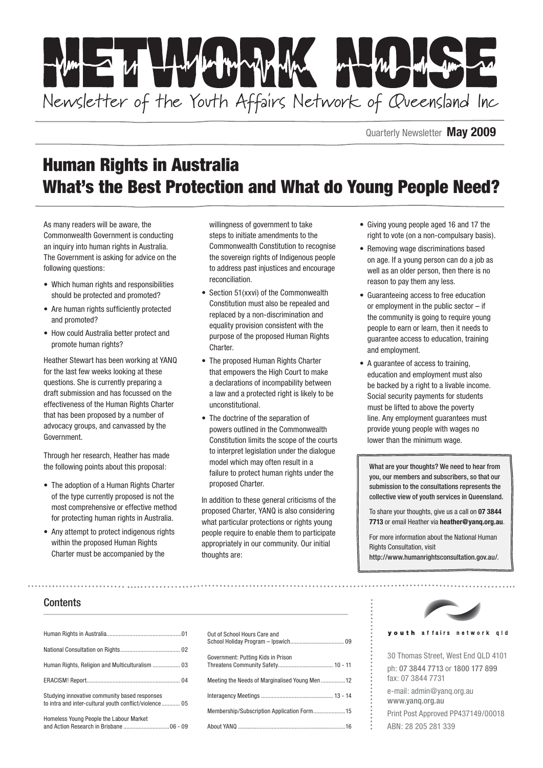

Quarterly Newsletter **May 2009**

# Human Rights in Australia What's the Best Protection and What do Young People Need?

As many readers will be aware, the Commonwealth Government is conducting an inquiry into human rights in Australia. The Government is asking for advice on the following questions:

- Which human rights and responsibilities should be protected and promoted?
- Are human rights sufficiently protected and promoted?
- • How could Australia better protect and promote human rights?

Heather Stewart has been working at YANQ for the last few weeks looking at these questions. She is currently preparing a draft submission and has focussed on the effectiveness of the Human Rights Charter that has been proposed by a number of advocacy groups, and canvassed by the Government.

Through her research, Heather has made the following points about this proposal:

- The adoption of a Human Rights Charter of the type currently proposed is not the most comprehensive or effective method for protecting human rights in Australia.
- Any attempt to protect indigenous rights within the proposed Human Rights Charter must be accompanied by the

willingness of government to take steps to initiate amendments to the Commonwealth Constitution to recognise the sovereign rights of Indigenous people to address past injustices and encourage reconciliation.

- Section 51(xxvi) of the Commonwealth Constitution must also be repealed and replaced by a non-discrimination and equality provision consistent with the purpose of the proposed Human Rights Charter.
- The proposed Human Rights Charter that empowers the High Court to make a declarations of incompability between a law and a protected right is likely to be unconstitutional.
- The doctrine of the separation of powers outlined in the Commonwealth Constitution limits the scope of the courts to interpret legislation under the dialogue model which may often result in a failure to protect human rights under the proposed Charter.

In addition to these general criticisms of the proposed Charter, YANQ is also considering what particular protections or rights young people require to enable them to participate appropriately in our community. Our initial thoughts are:

- • Giving young people aged 16 and 17 the right to vote (on a non-compulsary basis).
- Removing wage discriminations based on age. If a young person can do a job as well as an older person, then there is no reason to pay them any less.
- • Guaranteeing access to free education or employment in the public sector – if the community is going to require young people to earn or learn, then it needs to guarantee access to education, training and employment.
- A quarantee of access to training, education and employment must also be backed by a right to a livable income. Social security payments for students must be lifted to above the poverty line. Any employment guarantees must provide young people with wages no lower than the minimum wage.

What are your thoughts? We need to hear from you, our members and subscribers, so that our submission to the consultations represents the collective view of youth services in Queensland.

To share your thoughts, give us a call on **07 3844 7713** or email Heather via **heather@yanq.org.au**.

For more information about the National Human Rights Consultation, visit

<http://www.humanrightsconsultation.gov.au/>.

### **Contents**

| Studying innovative community based responses<br>to intra and inter-cultural youth conflict/violence  05 |
|----------------------------------------------------------------------------------------------------------|
| Homeless Young People the Labour Market                                                                  |



#### youth affairs network qld

30 Thomas Street, West End QLD 4101 ph: 07 3844 7713 or 1800 177 899 fax: 07 3844 7731

e-mail: admin@yanq.org.au www.yanq.org.au Print Post Approved PP437149/00018

ABN: 28 205 281 339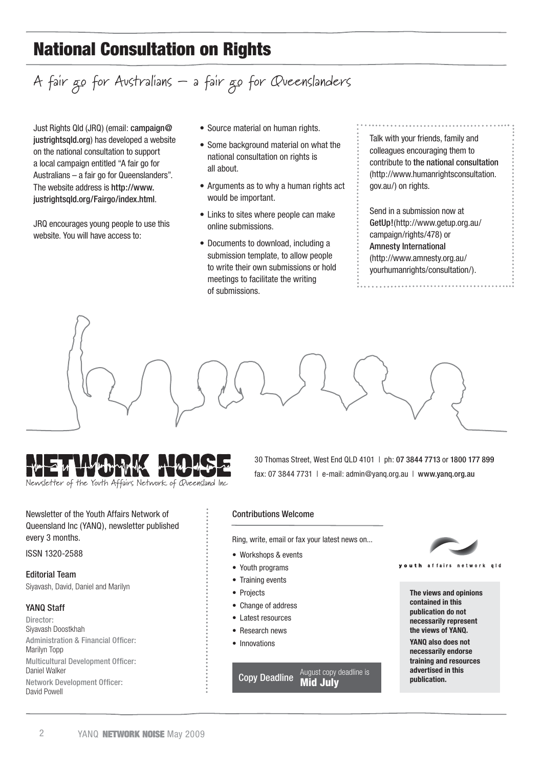# National Consultation on Rights

# A fair go for Australians – a fair go for Queenslanders

Just Rights Qld (JRQ) (email: campaign@ justrightsqld.org) has developed a website on the national consultation to support a local campaign entitled "A fair go for Australians – a fair go for Queenslanders". The website address is http://www. justrightsqld.org/Fairgo/index.html.

JRQ encourages young people to use this website. You will have access to:

- Source material on human rights.
- Some background material on what the national consultation on rights is all about.
- Arguments as to why a human rights act would be important.
- Links to sites where people can make online submissions.
- Documents to download, including a submission template, to allow people to write their own submissions or hold meetings to facilitate the writing of submissions.

Talk with your friends, family and colleagues encouraging them to contribute to the [national consultation](http://www.humanrightsconsultation.gov.au) (http://www.humanrightsconsultation. gov.au/) on rights.

Send in a submission now at [GetUp!](http://www.getup.org.au/campaign/rights/478)(http://www.getup.org.au/ campaign/rights/478) or [Amnesty International](http://www.amnesty.org.au/yourhumanrights/consultation/) (http://www.amnesty.org.au/ yourhumanrights/consultation/).





Newsletter of the Youth Affairs Network of Queensland Inc

Newsletter of the Youth Affairs Network of Queensland Inc (YANQ), newsletter published every 3 months.

ISSN 1320-2588

Editorial Team Siyavash, David, Daniel and Marilyn

### YANQ Staff

Director: Siyavash Doostkhah Administration & Financial Officer: Marilyn Topp Multicultural Development Officer: Daniel Walker Network Development Officer: David Powell

30 Thomas Street, West End QLD 4101 | ph: 07 3844 7713 or 1800 177 899 fax: 07 3844 7731 | e-mail: admin@yanq.org.au | www.yanq.org.au

#### Contributions Welcome

Ring, write, email or fax your latest news on...

- • Workshops & events
- Youth programs
- Training events
- • Projects
- Change of address
- • Latest resources
- Research news
- Innovations

**Copy Deadline** August copy deadline is **Mid July** 



**The views and opinions contained in this publication do not necessarily represent the views of YANQ. YANQ also does not necessarily endorse training and resources advertised in this publication.**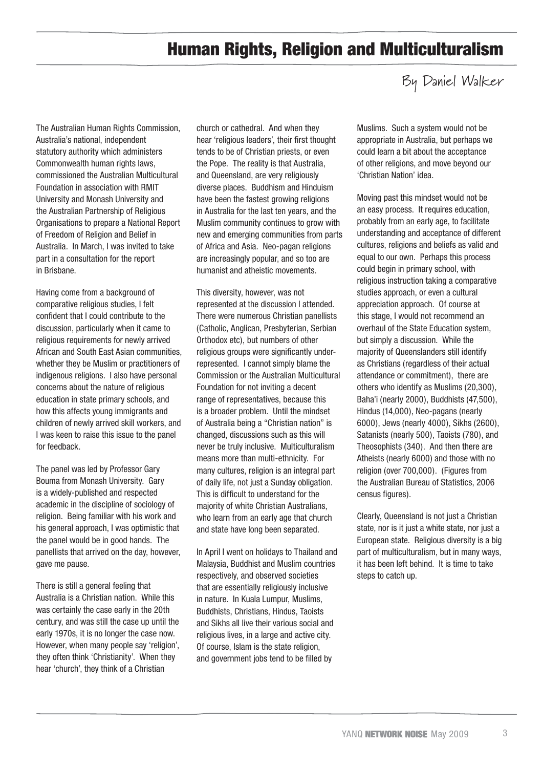# Human Rights, Religion and Multiculturalism

### By Daniel Walker

The Australian Human Rights Commission, Australia's national, independent statutory authority which administers Commonwealth human rights laws, commissioned the Australian Multicultural Foundation in association with RMIT University and Monash University and the Australian Partnership of Religious Organisations to prepare a National Report of Freedom of Religion and Belief in Australia. In March, I was invited to take part in a consultation for the report in Brisbane.

Having come from a background of comparative religious studies, I felt confident that I could contribute to the discussion, particularly when it came to religious requirements for newly arrived African and South East Asian communities, whether they be Muslim or practitioners of indigenous religions. I also have personal concerns about the nature of religious education in state primary schools, and how this affects young immigrants and children of newly arrived skill workers, and I was keen to raise this issue to the panel for feedback.

The panel was led by Professor Gary Bouma from Monash University. Gary is a widely-published and respected academic in the discipline of sociology of religion. Being familiar with his work and his general approach, I was optimistic that the panel would be in good hands. The panellists that arrived on the day, however, gave me pause.

There is still a general feeling that Australia is a Christian nation. While this was certainly the case early in the 20th century, and was still the case up until the early 1970s, it is no longer the case now. However, when many people say 'religion', they often think 'Christianity'. When they hear 'church', they think of a Christian

church or cathedral. And when they hear 'religious leaders', their first thought tends to be of Christian priests, or even the Pope. The reality is that Australia, and Queensland, are very religiously diverse places. Buddhism and Hinduism have been the fastest growing religions in Australia for the last ten years, and the Muslim community continues to grow with new and emerging communities from parts of Africa and Asia. Neo-pagan religions are increasingly popular, and so too are humanist and atheistic movements.

This diversity, however, was not represented at the discussion I attended. There were numerous Christian panellists (Catholic, Anglican, Presbyterian, Serbian Orthodox etc), but numbers of other religious groups were significantly underrepresented. I cannot simply blame the Commission or the Australian Multicultural Foundation for not inviting a decent range of representatives, because this is a broader problem. Until the mindset of Australia being a "Christian nation" is changed, discussions such as this will never be truly inclusive. Multiculturalism means more than multi-ethnicity. For many cultures, religion is an integral part of daily life, not just a Sunday obligation. This is difficult to understand for the majority of white Christian Australians, who learn from an early age that church and state have long been separated.

In April I went on holidays to Thailand and Malaysia, Buddhist and Muslim countries respectively, and observed societies that are essentially religiously inclusive in nature. In Kuala Lumpur, Muslims, Buddhists, Christians, Hindus, Taoists and Sikhs all live their various social and religious lives, in a large and active city. Of course, Islam is the state religion, and government jobs tend to be filled by

Muslims. Such a system would not be appropriate in Australia, but perhaps we could learn a bit about the acceptance of other religions, and move beyond our 'Christian Nation' idea.

Moving past this mindset would not be an easy process. It requires education, probably from an early age, to facilitate understanding and acceptance of different cultures, religions and beliefs as valid and equal to our own. Perhaps this process could begin in primary school, with religious instruction taking a comparative studies approach, or even a cultural appreciation approach. Of course at this stage, I would not recommend an overhaul of the State Education system, but simply a discussion. While the majority of Queenslanders still identify as Christians (regardless of their actual attendance or commitment), there are others who identify as Muslims (20,300), Baha'i (nearly 2000), Buddhists (47,500), Hindus (14,000), Neo-pagans (nearly 6000), Jews (nearly 4000), Sikhs (2600), Satanists (nearly 500), Taoists (780), and Theosophists (340). And then there are Atheists (nearly 6000) and those with no religion (over 700,000). (Figures from the Australian Bureau of Statistics, 2006 census figures).

Clearly, Queensland is not just a Christian state, nor is it just a white state, nor just a European state. Religious diversity is a big part of multiculturalism, but in many ways, it has been left behind. It is time to take steps to catch up.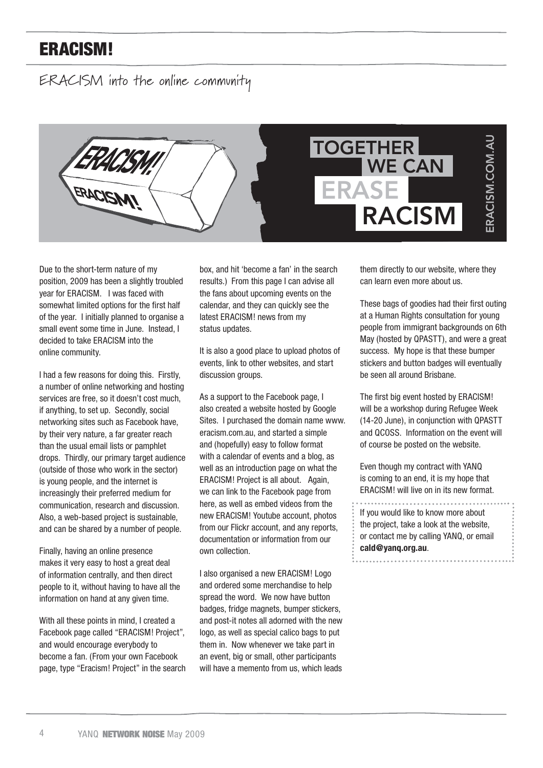# ERACISM!

ERACISM into the online community



Due to the short-term nature of my position, 2009 has been a slightly troubled year for ERACISM. I was faced with somewhat limited options for the first half of the year. I initially planned to organise a small event some time in June. Instead, I decided to take ERACISM into the online community.

I had a few reasons for doing this. Firstly, a number of online networking and hosting services are free, so it doesn't cost much, if anything, to set up. Secondly, social networking sites such as Facebook have, by their very nature, a far greater reach than the usual email lists or pamphlet drops. Thirdly, our primary target audience (outside of those who work in the sector) is young people, and the internet is increasingly their preferred medium for communication, research and discussion. Also, a web-based project is sustainable, and can be shared by a number of people.

Finally, having an online presence makes it very easy to host a great deal of information centrally, and then direct people to it, without having to have all the information on hand at any given time.

With all these points in mind, I created a Facebook page called "ERACISM! Project", and would encourage everybody to become a fan. (From your own Facebook page, type "Eracism! Project" in the search box, and hit 'become a fan' in the search results.) From this page I can advise all the fans about upcoming events on the calendar, and they can quickly see the latest ERACISM! news from my status updates.

It is also a good place to upload photos of events, link to other websites, and start discussion groups.

As a support to the Facebook page, I also created a website hosted by Google Sites. I purchased the domain name www. eracism.com.au, and started a simple and (hopefully) easy to follow format with a calendar of events and a blog, as well as an introduction page on what the ERACISM! Project is all about. Again, we can link to the Facebook page from here, as well as embed videos from the new ERACISM! Youtube account, photos from our Flickr account, and any reports, documentation or information from our own collection.

I also organised a new ERACISM! Logo and ordered some merchandise to help spread the word. We now have button badges, fridge magnets, bumper stickers, and post-it notes all adorned with the new logo, as well as special calico bags to put them in. Now whenever we take part in an event, big or small, other participants will have a memento from us, which leads

them directly to our website, where they can learn even more about us.

These bags of goodies had their first outing at a Human Rights consultation for young people from immigrant backgrounds on 6th May (hosted by QPASTT), and were a great success. My hope is that these bumper stickers and button badges will eventually be seen all around Brisbane.

The first big event hosted by ERACISM! will be a workshop during Refugee Week (14-20 June), in conjunction with QPASTT and QCOSS. Information on the event will of course be posted on the website.

Even though my contract with YANQ is coming to an end, it is my hope that ERACISM! will live on in its new format.

If you would like to know more about the project, take a look at the website, or contact me by calling YANQ, or email **cald@yanq.org.au**.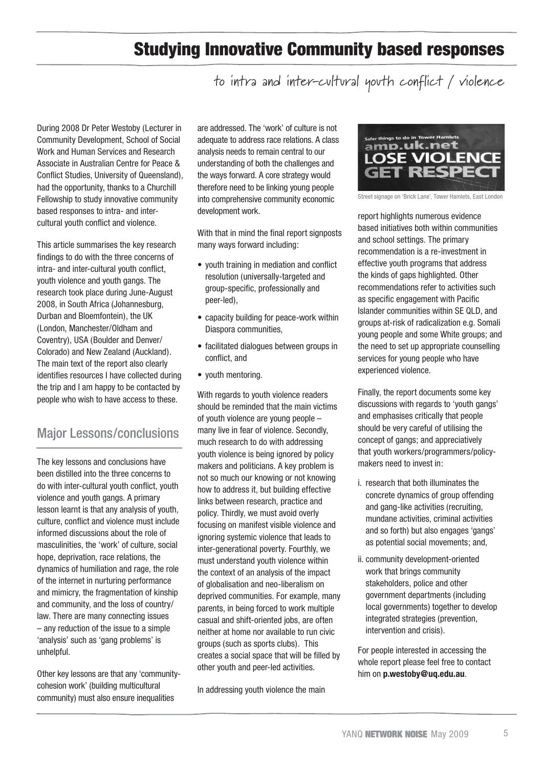# Studying Innovative Community based responses

to intra and inter-cultural youth conflict / violence

During 2008 Dr Peter Westoby (Lecturer in Community Development, School of Social Work and Human Services and Research Associate in Australian Centre for Peace & Conflict Studies, University of Queensland), had the opportunity, thanks to a Churchill Fellowship to study innovative community based responses to intra- and intercultural youth conflict and violence.

This article summarises the key research findings to do with the three concerns of intra- and inter-cultural youth conflict, youth violence and youth gangs. The research took place during June-August 2008, in South Africa (Johannesburg, Durban and Bloemfontein), the UK (London, Manchester/Oldham and Coventry), USA (Boulder and Denver/ Colorado) and New Zealand (Auckland). The main text of the report also clearly identifies resources I have collected during the trip and I am happy to be contacted by people who wish to have access to these.

### Major Lessons/conclusions

The key lessons and conclusions have been distilled into the three concerns to do with inter-cultural youth conflict, youth violence and youth gangs. A primary lesson learnt is that any analysis of youth, culture, conflict and violence must include informed discussions about the role of masculinities, the 'work' of culture, social hope, deprivation, race relations, the dynamics of humiliation and rage, the role of the internet in nurturing performance and mimicry, the fragmentation of kinship and community, and the loss of country/ law. There are many connecting issues – any reduction of the issue to a simple 'analysis' such as 'gang problems' is unhelpful.

Other key lessons are that any 'communitycohesion work' (building multicultural community) must also ensure inequalities

are addressed. The 'work' of culture is not adequate to address race relations. A class analysis needs to remain central to our understanding of both the challenges and the ways forward. A core strategy would therefore need to be linking young people into comprehensive community economic development work.

With that in mind the final report signposts many ways forward including:

- youth training in mediation and conflict resolution (universally-targeted and group-specific, professionally and peer-led),
- capacity building for peace-work within Diaspora communities,
- facilitated dialogues between groups in conflict, and
- youth mentoring.

With regards to youth violence readers should be reminded that the main victims of youth violence are young people – many live in fear of violence. Secondly, much research to do with addressing youth violence is being ignored by policy makers and politicians. A key problem is not so much our knowing or not knowing how to address it, but building effective links between research, practice and policy. Thirdly, we must avoid overly focusing on manifest visible violence and ignoring systemic violence that leads to inter-generational poverty. Fourthly, we must understand youth violence within the context of an analysis of the impact of globalisation and neo-liberalism on deprived communities. For example, many parents, in being forced to work multiple casual and shift-oriented jobs, are often neither at home nor available to run civic groups (such as sports clubs). This creates a social space that will be filled by other youth and peer-led activities.

In addressing youth violence the main



Street signage on 'Brick Lane', Tower Hamlets, East London

report highlights numerous evidence based initiatives both within communities and school settings. The primary recommendation is a re-investment in effective youth programs that address the kinds of gaps highlighted. Other recommendations refer to activities such as specific engagement with Pacific Islander communities within SE QLD, and groups at-risk of radicalization e.g. Somali young people and some White groups; and the need to set up appropriate counselling services for young people who have experienced violence.

Finally, the report documents some key discussions with regards to 'youth gangs' and emphasises critically that people should be very careful of utilising the concept of gangs; and appreciatively that youth workers/programmers/policymakers need to invest in:

- i. research that both illuminates the concrete dynamics of group offending and gang-like activities (recruiting, mundane activities, criminal activities and so forth) but also engages 'gangs' as potential social movements; and,
- ii. community development-oriented work that brings community stakeholders, police and other government departments (including local governments) together to develop integrated strategies (prevention, intervention and crisis).

For people interested in accessing the whole report please feel free to contact him on **p.westoby@uq.edu.au**.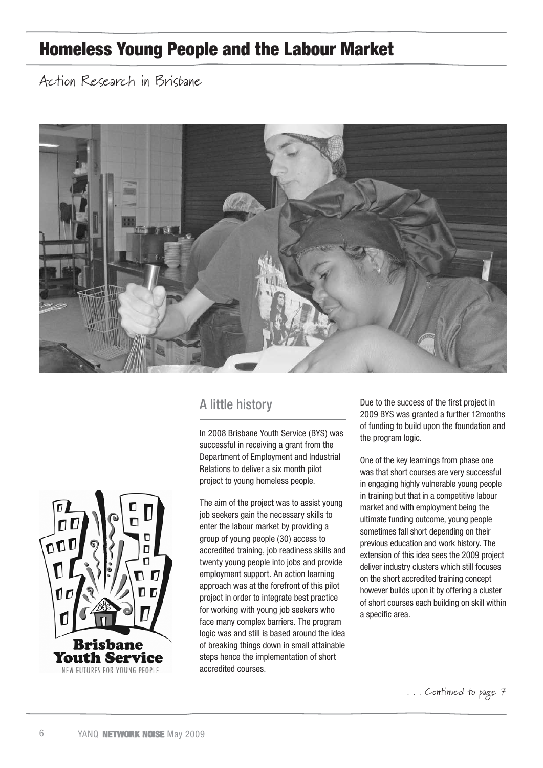# Homeless Young People and the Labour Market

Action Research in Brisbane



### A little history

In 2008 Brisbane Youth Service (BYS) was successful in receiving a grant from the Department of Employment and Industrial Relations to deliver a six month pilot project to young homeless people.

The aim of the project was to assist young job seekers gain the necessary skills to enter the labour market by providing a group of young people (30) access to accredited training, job readiness skills and twenty young people into jobs and provide employment support. An action learning approach was at the forefront of this pilot project in order to integrate best practice for working with young job seekers who face many complex barriers. The program logic was and still is based around the idea of breaking things down in small attainable steps hence the implementation of short accredited courses.

Due to the success of the first project in 2009 BYS was granted a further 12months of funding to build upon the foundation and the program logic.

One of the key learnings from phase one was that short courses are very successful in engaging highly vulnerable young people in training but that in a competitive labour market and with employment being the ultimate funding outcome, young people sometimes fall short depending on their previous education and work history. The extension of this idea sees the 2009 project deliver industry clusters which still focuses on the short accredited training concept however builds upon it by offering a cluster of short courses each building on skill within a specific area.

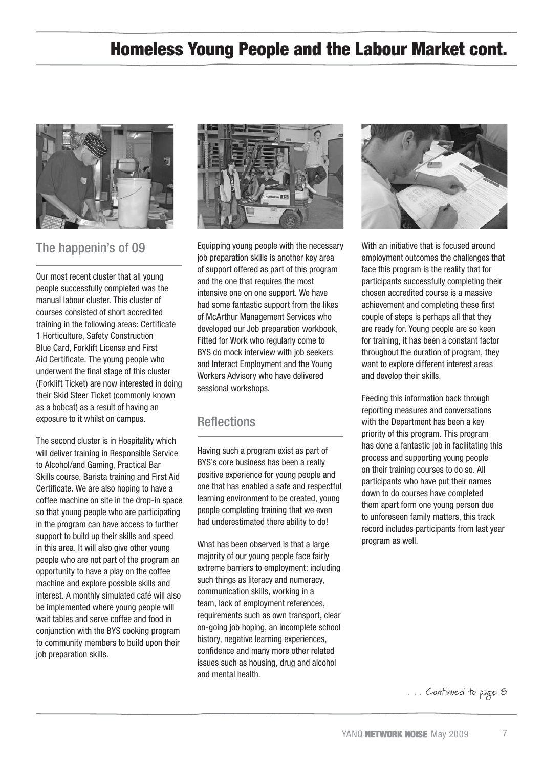# Homeless Young People and the Labour Market cont.



### The happenin's of 09

Our most recent cluster that all young people successfully completed was the manual labour cluster. This cluster of courses consisted of short accredited training in the following areas: Certificate 1 Horticulture, Safety Construction Blue Card, Forklift License and First Aid Certificate. The young people who underwent the final stage of this cluster (Forklift Ticket) are now interested in doing their Skid Steer Ticket (commonly known as a bobcat) as a result of having an exposure to it whilst on campus.

The second cluster is in Hospitality which will deliver training in Responsible Service to Alcohol/and Gaming, Practical Bar Skills course, Barista training and First Aid Certificate. We are also hoping to have a coffee machine on site in the drop-in space so that young people who are participating in the program can have access to further support to build up their skills and speed in this area. It will also give other young people who are not part of the program an opportunity to have a play on the coffee machine and explore possible skills and interest. A monthly simulated café will also be implemented where young people will wait tables and serve coffee and food in conjunction with the BYS cooking program to community members to build upon their job preparation skills.



Equipping young people with the necessary job preparation skills is another key area of support offered as part of this program and the one that requires the most intensive one on one support. We have had some fantastic support from the likes of McArthur Management Services who developed our Job preparation workbook, Fitted for Work who regularly come to BYS do mock interview with job seekers and Interact Employment and the Young Workers Advisory who have delivered sessional workshops.

### **Reflections**

Having such a program exist as part of BYS's core business has been a really positive experience for young people and one that has enabled a safe and respectful learning environment to be created, young people completing training that we even had underestimated there ability to do!

What has been observed is that a large majority of our young people face fairly extreme barriers to employment: including such things as literacy and numeracy, communication skills, working in a team, lack of employment references, requirements such as own transport, clear on-going job hoping, an incomplete school history, negative learning experiences, confidence and many more other related issues such as housing, drug and alcohol and mental health.



With an initiative that is focused around employment outcomes the challenges that face this program is the reality that for participants successfully completing their chosen accredited course is a massive achievement and completing these first couple of steps is perhaps all that they are ready for. Young people are so keen for training, it has been a constant factor throughout the duration of program, they want to explore different interest areas and develop their skills.

Feeding this information back through reporting measures and conversations with the Department has been a key priority of this program. This program has done a fantastic job in facilitating this process and supporting young people on their training courses to do so. All participants who have put their names down to do courses have completed them apart form one young person due to unforeseen family matters, this track record includes participants from last year program as well.

. . . Continued to page 8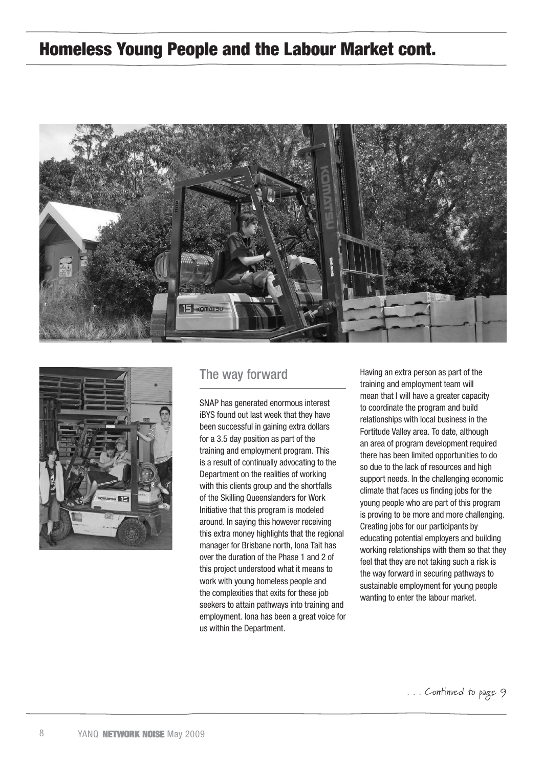## Homeless Young People and the Labour Market cont.





### The way forward

SNAP has generated enormous interest iBYS found out last week that they have been successful in gaining extra dollars for a 3.5 day position as part of the training and employment program. This is a result of continually advocating to the Department on the realities of working with this clients group and the shortfalls of the Skilling Queenslanders for Work Initiative that this program is modeled around. In saying this however receiving this extra money highlights that the regional manager for Brisbane north, Iona Tait has over the duration of the Phase 1 and 2 of this project understood what it means to work with young homeless people and the complexities that exits for these job seekers to attain pathways into training and employment. Iona has been a great voice for us within the Department.

Having an extra person as part of the training and employment team will mean that I will have a greater capacity to coordinate the program and build relationships with local business in the Fortitude Valley area. To date, although an area of program development required there has been limited opportunities to do so due to the lack of resources and high support needs. In the challenging economic climate that faces us finding jobs for the young people who are part of this program is proving to be more and more challenging. Creating jobs for our participants by educating potential employers and building working relationships with them so that they feel that they are not taking such a risk is the way forward in securing pathways to sustainable employment for young people wanting to enter the labour market.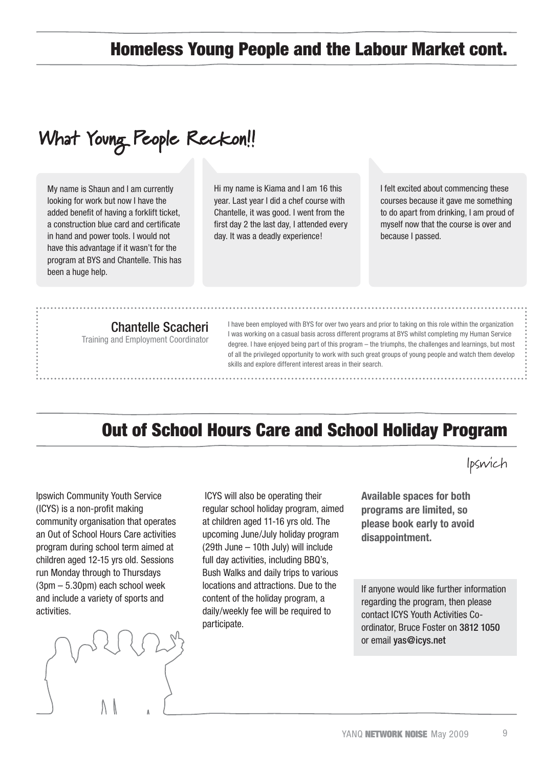# Homeless Young People and the Labour Market cont.

# What Young People Reckon!!

My name is Shaun and I am currently looking for work but now I have the added benefit of having a forklift ticket, a construction blue card and certificate in hand and power tools. I would not have this advantage if it wasn't for the program at BYS and Chantelle. This has been a huge help.

Hi my name is Kiama and I am 16 this year. Last year I did a chef course with Chantelle, it was good. I went from the first day 2 the last day, I attended every day. It was a deadly experience!

I felt excited about commencing these courses because it gave me something to do apart from drinking, I am proud of myself now that the course is over and because I passed.

### Chantelle Scacheri

Training and Employment Coordinator

I have been employed with BYS for over two years and prior to taking on this role within the organization I was working on a casual basis across different programs at BYS whilst completing my Human Service degree. I have enjoyed being part of this program – the triumphs, the challenges and learnings, but most of all the privileged opportunity to work with such great groups of young people and watch them develop skills and explore different interest areas in their search.

# Out of School Hours Care and School Holiday Program

Ipswich Community Youth Service (ICYS) is a non-profit making community organisation that operates an Out of School Hours Care activities program during school term aimed at children aged 12-15 yrs old. Sessions run Monday through to Thursdays (3pm – 5.30pm) each school week and include a variety of sports and activities.



 ICYS will also be operating their regular school holiday program, aimed at children aged 11-16 yrs old. The upcoming June/July holiday program (29th June – 10th July) will include full day activities, including BBQ's, Bush Walks and daily trips to various locations and attractions. Due to the content of the holiday program, a daily/weekly fee will be required to participate.

**Available spaces for both programs are limited, so please book early to avoid disappointment.**

If anyone would like further information regarding the program, then please contact ICYS Youth Activities Coordinator, Bruce Foster on 3812 1050 or email yas@icys.net

 $\overline{Q}$ 

Ipswich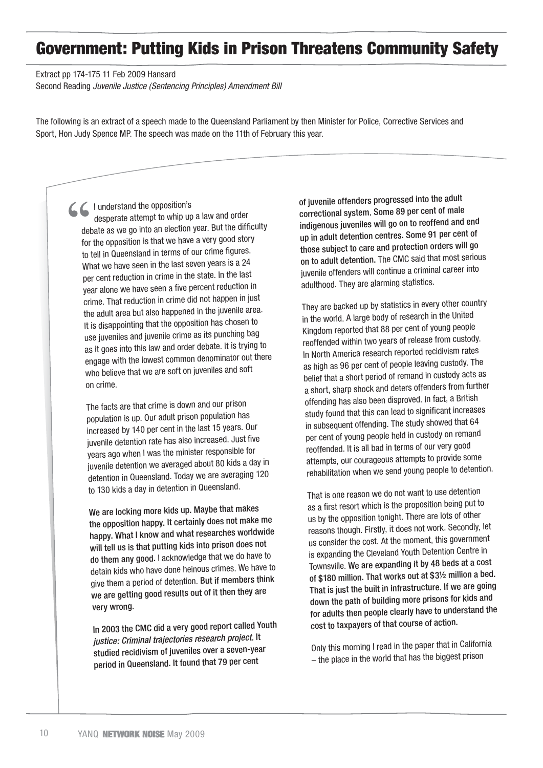# Government: Putting Kids in Prison Threatens Community Safety

Extract pp 174-175 11 Feb 2009 Hansard

Second Reading *Juvenile Justice (Sentencing Principles) Amendment Bill*

The following is an extract of a speech made to the Queensland Parliament by then Minister for Police, Corrective Services and Sport, Hon Judy Spence MP. The speech was made on the 11th of February this year.

I understand the opposition's desperate attempt to whip up a law and order debate as we go into an election year. But the difficulty for the opposition is that we have a very good story to tell in Queensland in terms of our crime figures. What we have seen in the last seven years is a 24 per cent reduction in crime in the state. In the last year alone we have seen a five percent reduction in crime. That reduction in crime did not happen in just the adult area but also happened in the juvenile area. It is disappointing that the opposition has chosen to use juveniles and juvenile crime as its punching bag as it goes into this law and order debate. It is trying to engage with the lowest common denominator out there who believe that we are soft on juveniles and soft on crime.

The facts are that crime is down and our prison population is up. Our adult prison population has increased by 140 per cent in the last 15 years. Our juvenile detention rate has also increased. Just five years ago when I was the minister responsible for juvenile detention we averaged about 80 kids a day in detention in Queensland. Today we are averaging 120 to 130 kids a day in detention in Queensland.

We are locking more kids up. Maybe that makes the opposition happy. It certainly does not make me happy. What I know and what researches worldwide will tell us is that putting kids into prison does not do them any good. I acknowledge that we do have to detain kids who have done heinous crimes. We have to give them a period of detention. But if members think we are getting good results out of it then they are very wrong.

In 2003 the CMC did a very good report called Youth *justice: Criminal trajectories research project.* It studied recidivism of juveniles over a seven-year period in Queensland. It found that 79 per cent

of juvenile offenders progressed into the adult correctional system. Some 89 per cent of male indigenous juveniles will go on to reoffend and end up in adult detention centres. Some 91 per cent of those subject to care and protection orders will go on to adult detention. The CMC said that most serious juvenile offenders will continue a criminal career into adulthood. They are alarming statistics.

They are backed up by statistics in every other country in the world. A large body of research in the United Kingdom reported that 88 per cent of young people reoffended within two years of release from custody. In North America research reported recidivism rates as high as 96 per cent of people leaving custody. The belief that a short period of remand in custody acts as a short, sharp shock and deters offenders from further offending has also been disproved. In fact, a British study found that this can lead to significant increases in subsequent offending. The study showed that 64 per cent of young people held in custody on reman<sup>d</sup> reoffended. It is all bad in terms of our very good attempts, our courageous attempts to provide some rehabilitation when we send young people to detention.

That is one reason we do not want to use detention as a first resort which is the proposition being put to us by the opposition tonight. There are lots of other reasons though. Firstly, it does not work. Secondly, let us consider the cost. At the moment, this governmen<sup>t</sup> is expanding the Cleveland Youth Detention Centre in Townsville. We are expanding it by 48 beds at a cost of \$180 million. That works out at \$3½ million a bed. That is just the built in infrastructure. If we are going down the path of building more prisons for kids and for adults then people clearly have to understand the cost to taxpayers of that course of action.

Only this morning I read in the paper that in California – the place in the world that has the biggest prison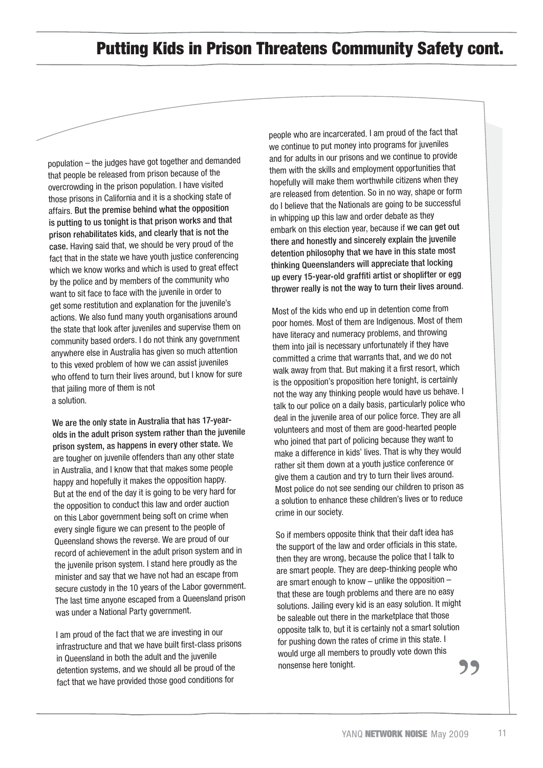## Putting Kids in Prison Threatens Community Safety cont.

population – the judges have got together and demanded that people be released from prison because of the overcrowding in the prison population. I have visited those prisons in California and it is a shocking state of affairs. But the premise behind what the opposition is putting to us tonight is that prison works and that prison rehabilitates kids, and clearly that is not the case. Having said that, we should be very proud of the fact that in the state we have youth justice conferencing which we know works and which is used to great effect by the police and by members of the community who want to sit face to face with the juvenile in order to get some restitution and explanation for the juvenile's actions. We also fund many youth organisations around the state that look after juveniles and supervise them on community based orders. I do not think any government anywhere else in Australia has given so much attention to this vexed problem of how we can assist juveniles who offend to turn their lives around, but I know for sure that jailing more of them is not a solution.

We are the only state in Australia that has 17-yearolds in the adult prison system rather than the juvenile prison system, as happens in every other state. We are tougher on juvenile offenders than any other state in Australia, and I know that that makes some people happy and hopefully it makes the opposition happy. But at the end of the day it is going to be very hard for the opposition to conduct this law and order auction on this Labor government being soft on crime when every single figure we can present to the people of Queensland shows the reverse. We are proud of our record of achievement in the adult prison system and in the juvenile prison system. I stand here proudly as the minister and say that we have not had an escape from secure custody in the 10 years of the Labor government. The last time anyone escaped from a Queensland prison was under a National Party government.

I am proud of the fact that we are investing in our infrastructure and that we have built first-class prisons in Queensland in both the adult and the juvenile detention systems, and we should all be proud of the fact that we have provided those good conditions for

people who are incarcerated. I am proud of the fact that we continue to put money into programs for juveniles and for adults in our prisons and we continue to provide them with the skills and employment opportunities that hopefully will make them worthwhile citizens when they are released from detention. So in no way, shape or form do I believe that the Nationals are going to be successful in whipping up this law and order debate as they embark on this election year, because if we can get out there and honestly and sincerely explain the juvenile detention philosophy that we have in this state most thinking Queenslanders will appreciate that locking up every 15-year-old graffiti artist or shoplifter or egg thrower really is not the way to turn their lives around.

Most of the kids who end up in detention come from poor homes. Most of them are Indigenous. Most of them have literacy and numeracy problems, and throwing them into jail is necessary unfortunately if they have committed a crime that warrants that, and we do not walk away from that. But making it a first resort, which is the opposition's proposition here tonight, is certainly not the way any thinking people would have us behave. I talk to our police on a daily basis, particularly police who deal in the juvenile area of our police force. They are all volunteers and most of them are good-hearted people who joined that part of policing because they want to make a difference in kids' lives. That is why they would rather sit them down at a youth justice conference or give them a caution and try to turn their lives around. Most police do not see sending our children to prison as a solution to enhance these children's lives or to reduce crime in our society.

So if members opposite think that their daft idea has the support of the law and order officials in this state, then they are wrong, because the police that I talk to are smart people. They are deep-thinking people who are smart enough to know – unlike the opposition – that these are tough problems and there are no easy solutions. Jailing every kid is an easy solution. It might be saleable out there in the marketplace that those opposite talk to, but it is certainly not a smart solution for pushing down the rates of crime in this state. I would urge all members to proudly vote down this nonsense here tonight.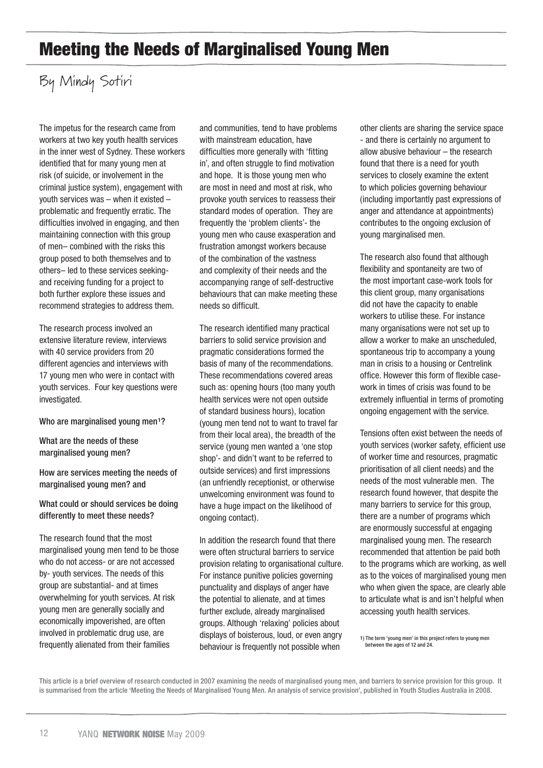# Meeting the Needs of Marginalised Young Men

# By Mindy Sotiri

The impetus for the research came from workers at two key youth health services in the inner west of Sydney. These workers identified that for many young men at risk (of suicide, or involvement in the criminal justice system), engagement with youth services was – when it existed – problematic and frequently erratic. The difficulties involved in engaging, and then maintaining connection with this group of men– combined with the risks this group posed to both themselves and to others– led to these services seekingand receiving funding for a project to both further explore these issues and recommend strategies to address them.

The research process involved an extensive literature review, interviews with 40 service providers from 20 different agencies and interviews with 17 young men who were in contact with youth services. Four key questions were investigated.

### Who are marginalised young men<sup>1</sup>?

What are the needs of these marginalised young men?

How are services meeting the needs of marginalised young men? and

What could or should services be doing differently to meet these needs?

The research found that the most marginalised young men tend to be those who do not access- or are not accessed by- youth services. The needs of this group are substantial- and at times overwhelming for youth services. At risk young men are generally socially and economically impoverished, are often involved in problematic drug use, are frequently alienated from their families

and communities, tend to have problems with mainstream education, have difficulties more generally with 'fitting in', and often struggle to find motivation and hope. It is those young men who are most in need and most at risk, who provoke youth services to reassess their standard modes of operation. They are frequently the 'problem clients'- the young men who cause exasperation and frustration amongst workers because of the combination of the vastness and complexity of their needs and the accompanying range of self-destructive behaviours that can make meeting these needs so difficult.

The research identified many practical barriers to solid service provision and pragmatic considerations formed the basis of many of the recommendations. These recommendations covered areas such as: opening hours (too many youth health services were not open outside of standard business hours), location (young men tend not to want to travel far from their local area), the breadth of the service (young men wanted a 'one stop shop'- and didn't want to be referred to outside services) and first impressions (an unfriendly receptionist, or otherwise unwelcoming environment was found to have a huge impact on the likelihood of ongoing contact).

In addition the research found that there were often structural barriers to service provision relating to organisational culture. For instance punitive policies governing punctuality and displays of anger have the potential to alienate, and at times further exclude, already marginalised groups. Although 'relaxing' policies about displays of boisterous, loud, or even angry behaviour is frequently not possible when

other clients are sharing the service space - and there is certainly no argument to allow abusive behaviour – the research found that there is a need for youth services to closely examine the extent to which policies governing behaviour (including importantly past expressions of anger and attendance at appointments) contributes to the ongoing exclusion of young marginalised men.

The research also found that although flexibility and spontaneity are two of the most important case-work tools for this client group, many organisations did not have the capacity to enable workers to utilise these. For instance many organisations were not set up to allow a worker to make an unscheduled, spontaneous trip to accompany a young man in crisis to a housing or Centrelink office. However this form of flexible casework in times of crisis was found to be extremely influential in terms of promoting ongoing engagement with the service.

Tensions often exist between the needs of youth services (worker safety, efficient use of worker time and resources, pragmatic prioritisation of all client needs) and the needs of the most vulnerable men. The research found however, that despite the many barriers to service for this group, there are a number of programs which are enormously successful at engaging marginalised young men. The research recommended that attention be paid both to the programs which are working, as well as to the voices of marginalised young men who when given the space, are clearly able to articulate what is and isn't helpful when accessing youth health services.

1) The term 'young men' in this project refers to young men between the ages of 12 and 24.

This article is a brief overview of research conducted in 2007 examining the needs of marginalised young men, and barriers to service provision for this group. It is summarised from the article 'Meeting the Needs of Marginalised Young Men. An analysis of service provision', published in Youth Studies Australia in 2008.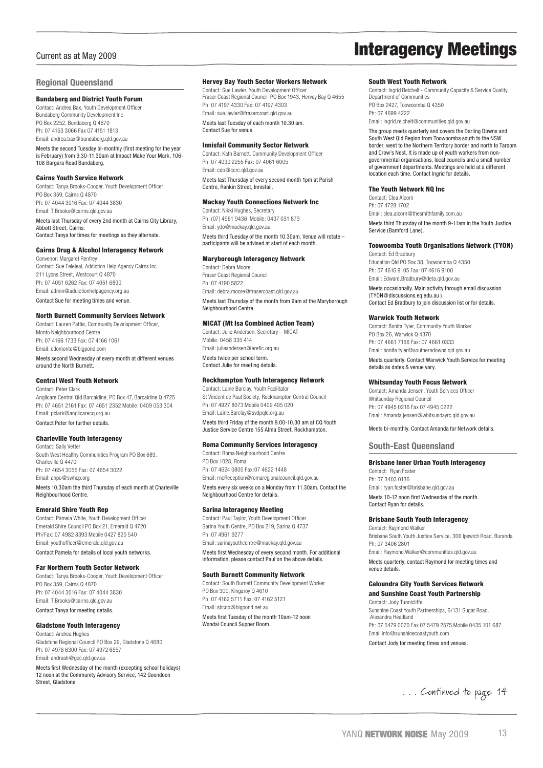#### **Regional Queensland**

#### Bundaberg and District Youth Forum

Contact: Andrea Bax, Youth Development Officer Bundaberg Community Development Inc PO Box 2252, Bundaberg Q 4670 Ph: 07 4153 3066 Fax 07 4151 1813 Email: andrea.bax@bundaberg.qld.gov.au

Meets the second Tuesday bi-monthly (first meeting for the year is February) from 9.30-11.30am at Impact Make Your Mark, 106- 108 Bargara Road Bundaberg.

#### Cairns Youth Service Network

Contact: Tanya Brooks-Cooper, Youth Development Officer PO Box 359, Cairns Q 4870 Ph: 07 4044 3016 Fax: 07 4044 3830 Email: T.Brooks@cairns.qld.gov.au Meets last Thursday of every 2nd month at Cairns City Library, Abbott Street, Cairns. Contact Tanya for times for meetings as they alternate.

### Cairns Drug & Alcohol Interagency Network

Convenor: Margaret Renfrey Contact: Sue Feleleai, Addiction Help Agency Cairns Inc 211 Lyons Street, Westcourt Q 4870 Ph: 07 4051 6262 Fax: 07 4051 6890 Email: admin@addictionhelpagency.org.au Contact Sue for meeting times and venue.

#### North Burnett Community Services Network

Contact: Lauren Pattie, Community Development Officer, Monto Neighbourhood Centre Ph: 07 4166 1733 Fax: 07 4166 1061 Email: cdomonto@bigpond.com Meets second Wednesday of every month at different venues around the North Burnett.

#### Central West Youth Network

Contact: Peter Clark Anglicare Central Qld Barcaldine, PO Box 47, Barcaldine Q 4725 Ph: 07 4651 2161 Fax: 07 4651 2352 Mobile: 0409 053 304 Email: pclark@anglicarecq.org.au Contact Peter for further details.

#### Charleville Youth Interagency

Contact: Sally Vetter South West Healthy Communities Program PO Box 689, Charleville Q 4470 Ph: 07 4654 3055 Fax: 07 4654 3022 Email: ahpo@swhcp.org Meets 10.30am the third Thursday of each month at Charleville Neighbourhood Centre.

#### Emerald Shire Youth Rep

Contact: Pamela White, Youth Development Officer Emerald Shire Council PO Box 21, Emerald Q 4720 Ph/Fax: 07 4982 8393 Mobile 0427 820 540 Email: youthofficer@emerald.qld.gov.au Contact Pamela for details of local youth networks.

#### Far Northern Youth Sector Network

Contact: Tanya Brooks-Cooper, Youth Development Officer PO Box 359, Cairns Q 4870 Ph: 07 4044 3016 Fax: 07 4044 3830 Email: T.Brooks@cairns.qld.gov.au Contact Tanya for meeting details.

#### Gladstone Youth Interagency

Contact: Andrea Hughes Gladstone Regional Council PO Box 29, Gladstone Q 4680

Ph: 07 4976 6300 Fax: 07 4972 6557 Email: andreah@gcc.qld.gov.au

Meets first Wednesday of the month (excepting school holidays) 12 noon at the Community Advisory Service, 142 Goondoon Street, Gladstone

#### Hervey Bay Youth Sector Workers Network

Contact: Sue Lawler, Youth Development Officer Fraser Coast Regional Council PO Box 1943, Hervey Bay Q 4655 Ph: 07 4197 4330 Fax: 07 4197 4303 Email: sue.lawler@frasercoast.qld.gov.au

Meets last Tuesday of each month 10.30 am. Contact Sue for venue.

#### Innisfail Community Sector Network

Contact: Kath Barnett, Community Development Officer Ph: 07 4030 2255 Fax: 07 4061 6005 Email: cdo@ccrc.qld.gov.au Meets last Thursday of every second month 1pm at Parish Centre, Rankin Street, Innisfail.

#### Mackay Youth Connections Network Inc

Contact: Nikki Hughes, Secretary Ph: (07) 4961 9436 Mobile: 0437 031 879 Email: ydo@mackay.qld.gov.au Meets third Tuesday of the month 10.30am. Venue will rotate – participants will be advised at start of each month.

#### Maryborough Interagency Network

Contact: Debra Moore Fraser Coast Regional Council Ph: 07 4190 5822 Email: debra.moore@frasercoast.qld.gov.au Meets last Thursday of the month from 9am at the Maryborough Neighbourhood Centre

#### MICAT (Mt Isa Combined Action Team)

Contact: Julie Andersen, Secretary – MICAT Mobile: 0458 335 414 Email: julieandersen@ereflc.org.au Meets twice per school term. Contact Julie for meeting details.

#### Rockhampton Youth Interagency Network

Contact: Laine Barclay, Youth Facilitator St Vincent de Paul Society, Rockhampton Central Council Ph: 07 4927 8073 Mobile 0409 495 020 Email: Laine.Barclay@svdpqld.org.au Meets third Friday of the month 9.00-10.30 am at CQ Youth Justice Service Centre 155 Alma Street, Rockhampton.

#### Roma Community Services Interagency

Contact: Roma Neighbourhood Centre PO Box 1028, Roma Ph: 07 4624 0800 Fax:07 4622 1448 Email: rncReception@romaregionalcouncil.qld.gov.au Meets every six weeks on a Monday from 11.30am. Contact the Neighbourhood Centre for details.

#### Sarina Interagency Meeting

Contact: Paul Taylor, Youth Development Officer Sarina Youth Centre, PO Box 219, Sarina Q 4737 Ph: 07 4961 9277 Email: sarinayouthcentre@mackay.qld.gov.au

Meets first Wednesday of every second month. For additional information, please contact Paul on the above details.

#### South Burnett Community Network

Contact: South Burnett Community Development Worker PO Box 300, Kingaroy Q 4610 Ph: 07 4162 5711 Fax: 07 4162 5121 Email: sbcdp@bigpond.net.au Meets first Tuesday of the month 10am-12 noon

Wondai Council Supper Room.

# Current as at May 2009 **Current as at May 2009**

#### South West Youth Network

Contact: Ingrid Reichelt - Community Capacity & Service Quality, Department of Communities PO Box 2427, Toowoomba Q 4350 Ph: 07 4699 4222 Email: ingrid.reichelt@communities.qld.gov.au

The group meets quarterly and covers the Darling Downs and South West Qld Region from Toowoomba south to the NSW border, west to the Northern Territory border and north to Taroom and Crow's Nest. It is made up of youth workers from nongovernmental organisations, local councils and a small number of government departments. Meetings are held at a different location each time. Contact Ingrid for details.

#### The Youth Network NQ Inc

Contact: Clea Alcorn Ph: 07 4728 1702 Email: clea.alcorn@thesmithfamily.com.au Meets third Thursday of the month 9-11am in the Youth Justice Service (Bamford Lane).

#### Toowoomba Youth Organisations Network (TYON)

Contact: Ed Bradbury Education Qld PO Box 38, Toowoomba Q 4350 Ph: 07 4616 9105 Fax: 07 4616 9100 Email: Edward.Bradbury@deta.qld.gov.au

Meets occasionally. Main activity through email discussion (TYON@discussions.eq.edu.au ). Contact Ed Bradbury to join discussion list or for details.

#### Warwick Youth Network

Contact: Bonita Tyler, Community Youth Worker PO Box 26, Warwick Q 4370 Ph: 07 4661 7166 Fax: 07 4661 0333 Email: bonita.tyler@southerndowns.qld.gov.au Meets quarterly. Contact Warwick Youth Service for meeting details as dates & venue vary.

#### Whitsunday Youth Focus Network

Contact: Amanda Jensen, Youth Services Officer Whitsunday Regional Council Ph: 07 4945 0216 Fax 07 4945 0222 Email: Amanda.jensen@whitsundayrc.qld.gov.au

Meets bi-monthly. Contact Amanda for Network details.

#### **South-East Queensland**

#### Brisbane Inner Urban Youth Interagency

Contact: Ryan Foster Ph: 07 3403 0136 Email: ryan.foster@brisbane.qld.gov.au Meets 10-12 noon first Wednesday of the month. Contact Ryan for details.

#### Brisbane South Youth Interagency

Contact: Raymond Walke Brisbane South Youth Justice Service, 306 Ipswich Road, Buranda Ph: 07 3406 2801 Email: Raymond.Walker@communities.qld.gov.au Meets quarterly, contact Raymond for meeting times and venue details.

### Caloundra City Youth Services Network

and Sunshine Coast Youth Partnership Contact: Jody Tunnicliffe Sunshine Coast Youth Partnerships, 6/131 Sugar Road, Alexandra Headland Ph: 07 5479 0070 Fax 07 5479 2575 Mobile 0435 101 687 Email info@sunshinecoastyouth.com Contact Jody for meeting times and venues.

. . . Continued to page 14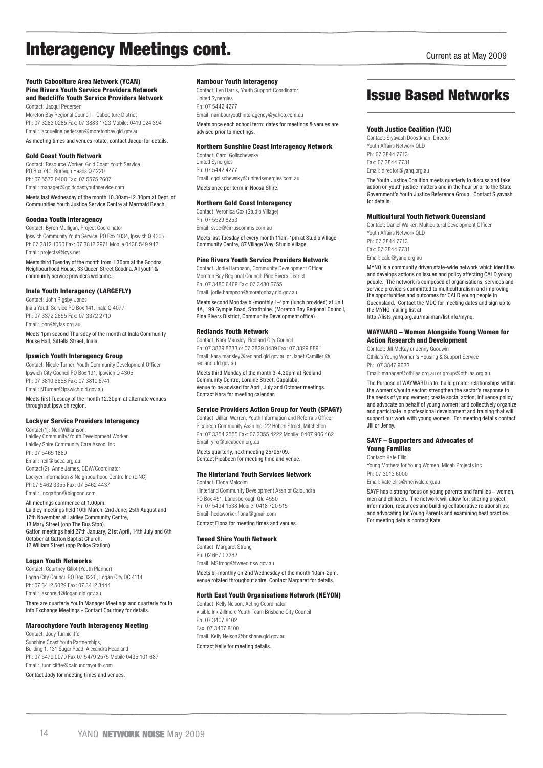# Interagency Meetings cont.

#### Youth Caboolture Area Network (YCAN) Pine Rivers Youth Service Providers Network and Redcliffe Youth Service Providers Network Contact: Jacqui Pedersen

Moreton Bay Regional Council – Caboolture District Ph: 07 3283 0285 Fax: 07 3883 1723 Mobile: 0419 024 394 Email: jacqueline.pedersen@moretonbay.qld.gov.au

As meeting times and venues rotate, contact Jacqui for details.

#### Gold Coast Youth Network

Contact: Resource Worker, Gold Coast Youth Service PO Box 740, Burleigh Heads Q 4220 Ph: 07 5572 0400 Fax: 07 5575 2607 Email: manager@goldcoastyouthservice.com Meets last Wednesday of the month 10.30am-12.30pm at Dept. of

### Communities Youth Justice Service Centre at Mermaid Beach.

Goodna Youth Interagency Contact: Byron Mulligan, Project Coordinator Ipswich Community Youth Service, PO Box 1034, Ipswich Q 4305 Ph 07 3812 1050 Fax: 07 3812 2971 Mobile 0438 549 942 Email: projects@icys.net

Meets third Tuesday of the month from 1.30pm at the Goodna Neighbourhood House, 33 Queen Street Goodna. All youth & community service providers welcome

#### Inala Youth Interagency (LARGEFLY)

Contact: John Rigsby-Jones Inala Youth Service PO Box 141, Inala Q 4077 Ph: 07 3372 2655 Fax: 07 3372 2710 Email: john@iyfss.org.au Meets 1pm second Thursday of the month at Inala Community House Hall, Sittella Street, Inala.

#### Ipswich Youth Interagency Group

Contact: Nicole Turner, Youth Community Development Officer Ipswich City Council PO Box 191, Ipswich Q 4305 Ph: 07 3810 6658 Fax: 07 3810 6741 Email: NTurner@ipswich.gld.gov.au

Meets first Tuesday of the month 12.30pm at alternate venues throughout Ipswich region.

#### Lockyer Service Providers Interagency

Contact(1): Neil Williamson, Laidley Community/Youth Development Worker Laidley Shire Community Care Assoc. Inc Ph: 07 5465 1889 Email: neil@lscca.org.au Contact(2): Anne James, CDW/Coordinator Lockyer Information & Neighbourhood Centre Inc (LINC) Ph 07 5462 3355 Fax: 07 5462 4437 Email: lincgatton@bigpond.com

All meetings commence at 1.00pm.

Laidley meetings held 10th March, 2nd June, 25th August and 17th November at Laidley Community Centre, 13 Mary Street (opp The Bus Stop). Gatton meetings held 27th January, 21st April, 14th July and 6th October at Gatton Baptist Church, 12 William Street (opp Police Station)

#### Logan Youth Networks

Contact: Courtney Gillot (Youth Planner) Logan City Council PO Box 3226, Logan City DC 4114 Ph: 07 3412 5029 Fax: 07 3412 3444 Email: jasonreid@logan.qld.gov.au There are quarterly Youth Manager Meetings and quarterly Youth

### Info Exchange Meetings - Contact Courtney for details. Maroochydore Youth Interagency Meeting

Contact: Jody Tunnicliffe Sunshine Coast Youth Partnerships, Building 1, 131 Sugar Road, Alexandra Headland Ph: 07 5479 0070 Fax 07 5479 2575 Mobile 0435 101 687 Email: jtunnicliffe@caloundrayouth.com Contact Jody for meeting times and venues.

#### Nambour Youth Interagency

Contact: Lyn Harris, Youth Support Coordinator United Synergies Ph: 07 5442 4277 Email: nambouryouthinteragency@yahoo.com.au Meets once each school term; dates for meetings & venues are advised prior to meetings.

#### Northern Sunshine Coast Interagency Network

Contact: Carol Gollschewsky United Synergies Ph: 07 5442 4277 Email: cgollschewsky@unitedsynergies.com.au Meets once per term in Noosa Shire.

#### Northern Gold Coast Interagency

Contact: Veronica Cox (Studio Village)  $Dh: 07$  5520 8252 Email: svcc@cirruscomms.com.au Meets last Tuesday of every month 11am-1pm at Studio Village Community Centre, 87 Village Way, Studio Village.

#### Pine Rivers Youth Service Providers Network

Contact: Jodie Hampson, Community Development Officer, Moreton Bay Regional Council, Pine Rivers District Ph: 07 3480 6469 Fax: 07 3480 6755 Email: jodie.hampson@moretonbay.qld.gov.au

Meets second Monday bi-monthly 1-4pm (lunch provided) at Unit 4A, 199 Gympie Road, Strathpine. (Moreton Bay Regional Council, Pine Rivers District, Community Development office).

#### Redlands Youth Network

Contact: Kara Mansley, Redland City Council Ph: 07 3829 8233 or 07 3829 8489 Fax: 07 3829 8891 Email: kara.mansley@redland.qld.gov.au or Janet.Camilleri@ redland.gld.gov.au

Meets third Monday of the month 3-4.30pm at Redland Community Centre, Loraine Street, Capalaba. Venue to be advised for April, July and October meetings. Contact Kara for meeting calendar.

#### Service Providers Action Group for Youth (SPAGY)

Contact: Jillian Warren, Youth Information and Referrals Officer Picabeen Community Assn Inc, 22 Hoben Street, Mitchelton Ph: 07 3354 2555 Fax: 07 3355 4222 Mobile: 0407 906 462 Email: yiro@picabeen.org.au Meets quarterly, next meeting 25/05/09. Contact Picabeen for meeting time and venue.

#### The Hinterland Youth Services Network

Contact: Fiona Malcolm Hinterland Community Development Assn of Caloundra PO Box 451, Landsborough Qld 4550 Ph: 07 5494 1538 Mobile: 0418 720 515 Email: hcdaworker.fiona@gmail.com Contact Fiona for meeting times and venues.

#### Tweed Shire Youth Network

Contact: Margaret Strong Ph: 02 6670 2262 Email: MStrong@tweed.nsw.gov.au Meets bi-monthly on 2nd Wednesday of the month 10am-2pm. Venue rotated throughout shire. Contact Margaret for details.

#### North East Youth Organisations Network (NEYON)

Contact: Kelly Nelson, Acting Coordinator Visible Ink Zillmere Youth Team Brisbane City Council Ph: 07 3407 8102 Fax: 07 3407 8100 Email: Kelly.Nelson@brisbane.qld.gov.au Contact Kelly for meeting details.

Current as at May 2009

### Issue Based Networks

#### Youth Justice Coalition (YJC)

Contact: Siyavash Doostkhah, Director Youth Affairs Network QLD Ph: 07 3844 7713 Fax: 07 3844 7731 Email: director@yanq.org.au

The Youth Justice Coalition meets quarterly to discuss and take action on youth justice matters and in the hour prior to the State Government's Youth Justice Reference Group. Contact Siyavash for details.

#### Multicultural Youth Network Queensland

Contact: Daniel Walker, Multicultural Development Officer Youth Affairs Network QLD Ph: 07 3844 7713 Fax: 07 3844 7731 Email: cald@yanq.org.au

MYNQ is a community driven state-wide network which identifies and develops actions on issues and policy affecting CALD young people. The network is composed of organisations, services and service providers committed to multiculturalism and improving the opportunities and outcomes for CALD young people in Queensland. Contact the MDO for meeting dates and sign up to the MYNQ mailing list at http://lists.yanq.org.au/mailman/listinfo/mynq.

#### WAYWARD – Women Alongside Young Women for Action Research and Development

Contact: Jill McKay or Jenny Goodwin Othila's Young Women's Housing & Support Service Ph: 07 3847 9633

Email: manager@othilas.org.au or group@othilas.org.au

The Purpose of WAYWARD is to: build greater relationships within the women's/youth sector; strengthen the sector's response to the needs of young women; create social action, influence policy and advocate on behalf of young women; and collectively organize and participate in professional development and training that will support our work with young women. For meeting details contact Jill or Jenny.

#### SAYF – Supporters and Advocates of Young Families

Contact: Kate Ellis Young Mothers for Young Women, Micah Projects Inc Ph: 07 3013 6000

Email: kate.ellis@merivale.org.au

SAYF has a strong focus on young parents and families – women, men and children. The network will allow for: sharing project information, resources and building collaborative relationships; and advocating for Young Parents and examining best practice. For meeting details contact Kate.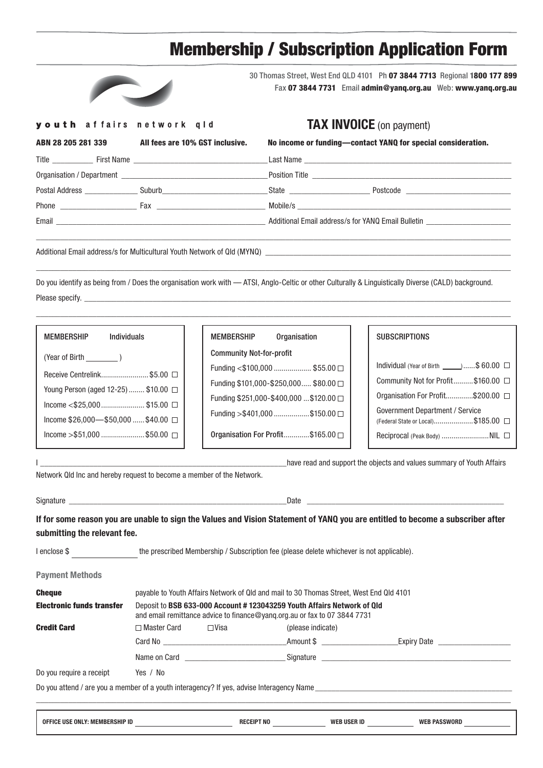# Membership / Subscription Application Form



30 Thomas Street, West End QLD 4101 Ph 07 3844 7713 Regional 1800 177 899 Fax 07 3844 7731 Email admin@yanq.org.au Web: www.yanq.org.au

#### youth affairs network gld

### **TAX INVOICE** (on payment)

| ABN 28 205 281 339 | All fees are 10% GST inclusive. | No income or funding—contact YANQ for special consideration. |  |
|--------------------|---------------------------------|--------------------------------------------------------------|--|
|                    |                                 |                                                              |  |
|                    |                                 |                                                              |  |
|                    |                                 | State <b>State</b> Postcode <b>State</b> Postcode            |  |
|                    | Phone Fax Fax Phone             |                                                              |  |
|                    |                                 | Additional Email address/s for YANQ Email Bulletin           |  |
|                    |                                 |                                                              |  |

Additional Email address/s for Multicultural Youth Network of Qld (MYNQ) \_\_

Do you identify as being from / Does the organisation work with — ATSI, Anglo-Celtic or other Culturally & Linguistically Diverse (CALD) background. Please specify.

 $\_$  , and the state of the state of the state of the state of the state of the state of the state of the state of the state of the state of the state of the state of the state of the state of the state of the state of the

 $\_$  , and the state of the state of the state of the state of the state of the state of the state of the state of the state of the state of the state of the state of the state of the state of the state of the state of the

| MEMBERSHIP                                   | Individuals |  |
|----------------------------------------------|-------------|--|
| (Year of Birth )                             |             |  |
| Receive Centrelink \$5.00  □                 |             |  |
| Young Person (aged 12-25) \$10.00 □          |             |  |
| Income <\$25,000\$15.00 $\Box$               |             |  |
| Income $$26,000$ — $$50,000$ $$40.00$ $\Box$ |             |  |
| $l$ ncome >\$51,000 \$50.00 $\Box$           |             |  |
|                                              |             |  |

| <b>MEMBERSHIP</b>               | <b>Organisation</b>                     |
|---------------------------------|-----------------------------------------|
| <b>Community Not-for-profit</b> |                                         |
|                                 | Funding <\$100,000  \$55.00 □           |
|                                 | Funding \$101,000-\$250,000 \$80.00 □   |
|                                 | Funding \$251,000-\$400,000  \$120.00 □ |
|                                 | Funding >\$401,000 \$150.00 □           |
|                                 | Organisation For Profit\$165.00 □       |

| <b>SUBSCRIPTIONS</b> |
|----------------------|
|----------------------|

| Individual (Year of Birth $\_\_\_\_\$ \$ 60.00 $\Box$                 |  |
|-----------------------------------------------------------------------|--|
| Community Not for Profit\$160.00 □                                    |  |
| Organisation For Profit\$200.00 □                                     |  |
| Government Department / Service<br>(Federal State or Local)\$185.00 □ |  |
| Reciprocal (Peak Body)  NIL                                           |  |
|                                                                       |  |

Network Qld Inc and hereby request to become a member of the Network.

Signature \_\_\_\_\_\_\_\_\_\_\_\_\_\_\_\_\_\_\_\_\_\_\_\_\_\_\_\_\_\_\_\_\_\_\_\_\_\_\_\_\_\_\_\_\_\_\_\_\_\_\_\_\_Date \_\_\_\_\_\_\_\_\_\_\_\_\_\_\_\_\_\_\_\_\_\_\_\_\_\_\_\_\_\_\_\_\_\_\_\_\_\_\_\_\_\_\_\_\_\_\_\_

**Payment Methods**

**If for some reason you are unable to sign the Values and Vision Statement of YANQ you are entitled to become a subscriber after submitting the relevant fee.**

I \_\_\_\_\_\_\_\_\_\_\_\_\_\_\_\_\_\_\_\_\_\_\_\_\_\_\_\_\_\_\_\_\_\_\_\_\_\_\_\_\_\_\_\_\_\_\_\_\_\_\_\_\_\_\_\_\_\_\_\_have read and support the objects and values summary of Youth Affairs

I enclose \$ the prescribed Membership / Subscription fee (please delete whichever is not applicable).

| <b>Cheque</b>                    |               | payable to Youth Affairs Network of Qld and mail to 30 Thomas Street, West End Qld 4101 |                                                                                                                                                     |                                                                                                                                                                                                                                     |  |  |
|----------------------------------|---------------|-----------------------------------------------------------------------------------------|-----------------------------------------------------------------------------------------------------------------------------------------------------|-------------------------------------------------------------------------------------------------------------------------------------------------------------------------------------------------------------------------------------|--|--|
| <b>Electronic funds transfer</b> |               |                                                                                         | Deposit to BSB 633-000 Account #123043259 Youth Affairs Network of Qld<br>and email remittance advice to finance@yang.org.au or fax to 07 3844 7731 |                                                                                                                                                                                                                                     |  |  |
| <b>Credit Card</b>               | □ Master Card | ⊟ Visa                                                                                  | (please indicate)                                                                                                                                   |                                                                                                                                                                                                                                     |  |  |
|                                  |               |                                                                                         | _Amount \$ ______________________                                                                                                                   | Expiry Date <b>Expire</b>                                                                                                                                                                                                           |  |  |
|                                  |               | Name on Card                                                                            |                                                                                                                                                     | Signature <b>Signature</b> and the state of the state of the state of the state of the state of the state of the state of the state of the state of the state of the state of the state of the state of the state of the state of t |  |  |
| Do you require a receipt         | Yes / No      |                                                                                         |                                                                                                                                                     |                                                                                                                                                                                                                                     |  |  |
|                                  |               |                                                                                         |                                                                                                                                                     | Do you attend / are you a member of a youth interagency? If yes, advise Interagency Name                                                                                                                                            |  |  |
|                                  |               |                                                                                         |                                                                                                                                                     |                                                                                                                                                                                                                                     |  |  |
| OFFICE USE ONLY: MEMBERSHIP ID   |               | <b>RECEIPT NO</b>                                                                       | <b>WEB USER ID</b>                                                                                                                                  | <b>WEB PASSWORD</b>                                                                                                                                                                                                                 |  |  |